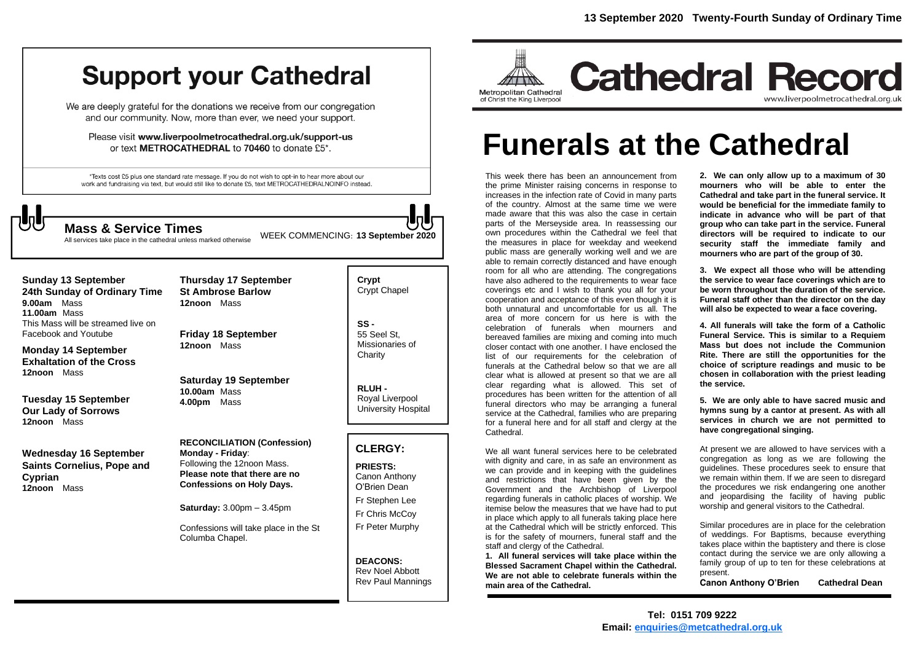# **Support your Cathedral**

We are deeply grateful for the donations we receive from our congregation and our community. Now, more than ever, we need your support.

Please visit www.liverpoolmetrocathedral.org.uk/support-us or text METROCATHEDRAL to 70460 to donate £5\*.

\*Texts cost £5 plus one standard rate message. If you do not wish to opt-in to hear more about our work and fundraising via text, but would still like to donate £5, text METROCATHEDRALNOINFO instead.

WEEK COMMENCING: **<sup>13</sup> September <sup>2020</sup> Mass & Service Times**

All services take place in the cathedral unless marked otherwise

**Sunday 13 September 24th Sunday of Ordinary Time 9.00am** Mass **11.00am** Mass This Mass will be streamed live on Facebook and Youtube

**Monday 14 September Exhaltation of the Cross 12noon** Mass

**Tuesday 15 September Our Lady of Sorrows 12noon** Mass

**Wednesday 16 September Saints Cornelius, Pope and Cyprian 12noon** Mass

**Thursday 17 September St Ambrose Barlow 12noon** Mass

**Friday 18 September 12noon** Mass

**Saturday 19 September 10.00am** Mass **4.00pm** Mass

**RECONCILIATION (Confession) Monday - Friday**: Following the 12noon Mass. **Please note that there are no Confessions on Holy Days.**

**Saturday:** 3.00pm – 3.45pm

Confessions will take place in the St Columba Chapel.

**Crypt**  Crypt Chapel

**SS -** 55 Seel St, Missionaries of **Charity** 

**RLUH -** Royal Liverpool University Hospital

#### **CLERGY:**

**PRIESTS:** Canon Anthony O'Brien *Dean*

Fr Stephen Lee Fr Chris McCoy Fr Peter Murphy

**DEACONS:** Rev Noel Abbott Rev Paul Mannings



# **Funerals at the Cathedral**

This week there has been an announcement from the prime Minister raising concerns in response to increases in the infection rate of Covid in many parts of the country. Almost at the same time we were made aware that this was also the case in certain parts of the Merseyside area. In reassessing our own procedures within the Cathedral we feel that the measures in place for weekday and weekend public mass are generally working well and we are able to remain correctly distanced and have enough room for all who are attending. The congregations have also adhered to the requirements to wear face coverings etc and I wish to thank you all for your cooperation and acceptance of this even though it is both unnatural and uncomfortable for us all. The area of more concern for us here is with the celebration of funerals when mourners and bereaved families are mixing and coming into much closer contact with one another. I have enclosed the list of our requirements for the celebration of funerals at the Cathedral below so that we are all clear what is allowed at present so that we are all clear regarding what is allowed. This set of procedures has been written for the attention of all funeral directors who may be arranging a funeral service at the Cathedral, families who are preparing for a funeral here and for all staff and clergy at the Cathedral.

We all want funeral services here to be celebrated with dignity and care, in as safe an environment as we can provide and in keeping with the guidelines and restrictions that have been given by the Government and the Archbishop of Liverpool regarding funerals in catholic places of worship. We itemise below the measures that we have had to put in place which apply to all funerals taking place here at the Cathedral which will be strictly enforced. This is for the safety of mourners, funeral staff and the staff and clergy of the Cathedral.

**1. All funeral services will take place within the Blessed Sacrament Chapel within the Cathedral. We are not able to celebrate funerals within the main area of the Cathedral.**

**2. We can only allow up to a maximum of 30 mourners who will be able to enter the Cathedral and take part in the funeral service. It would be beneficial for the immediate family to indicate in advance who will be part of that group who can take part in the service. Funeral directors will be required to indicate to our security staff the immediate family and mourners who are part of the group of 30.**

**3. We expect all those who will be attending the service to wear face coverings which are to be worn throughout the duration of the service. Funeral staff other than the director on the day will also be expected to wear a face covering.**

**4. All funerals will take the form of a Catholic Funeral Service. This is similar to a Requiem Mass but does not include the Communion Rite. There are still the opportunities for the choice of scripture readings and music to be chosen in collaboration with the priest leading the service.**

**5. We are only able to have sacred music and hymns sung by a cantor at present. As with all services in church we are not permitted to have congregational singing.**

At present we are allowed to have services with a congregation as long as we are following the guidelines. These procedures seek to ensure that we remain within them. If we are seen to disregard the procedures we risk endangering one another and jeopardising the facility of having public worship and general visitors to the Cathedral.

Similar procedures are in place for the celebration of weddings. For Baptisms, because everything takes place within the baptistery and there is close contact during the service we are only allowing a family group of up to ten for these celebrations at present.

**Canon Anthony O'Brien Cathedral Dean**